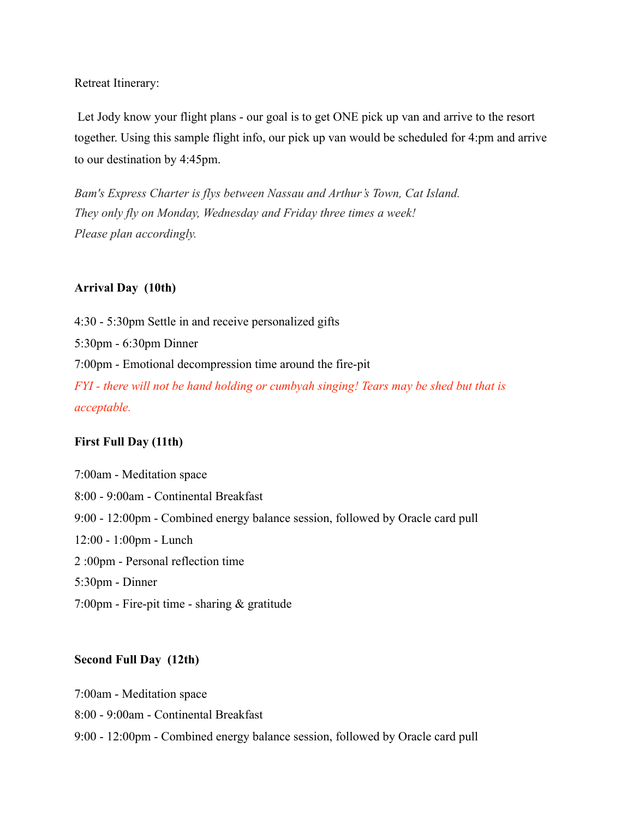Retreat Itinerary:

 Let Jody know your flight plans - our goal is to get ONE pick up van and arrive to the resort together. Using this sample flight info, our pick up van would be scheduled for 4:pm and arrive to our destination by 4:45pm.

*Bam's Express Charter is flys between Nassau and Arthur's Town, Cat Island. They only fly on Monday, Wednesday and Friday three times a week! Please plan accordingly.* 

# **Arrival Day (10th)**

4:30 - 5:30pm Settle in and receive personalized gifts 5:30pm - 6:30pm Dinner 7:00pm - Emotional decompression time around the fire-pit *FYI - there will not be hand holding or cumbyah singing! Tears may be shed but that is acceptable.*

# **First Full Day (11th)**

7:00am - Meditation space 8:00 - 9:00am - Continental Breakfast 9:00 - 12:00pm - Combined energy balance session, followed by Oracle card pull 12:00 - 1:00pm - Lunch 2 :00pm - Personal reflection time 5:30pm - Dinner 7:00pm - Fire-pit time - sharing & gratitude

# **Second Full Day (12th)**

7:00am - Meditation space

8:00 - 9:00am - Continental Breakfast

9:00 - 12:00pm - Combined energy balance session, followed by Oracle card pull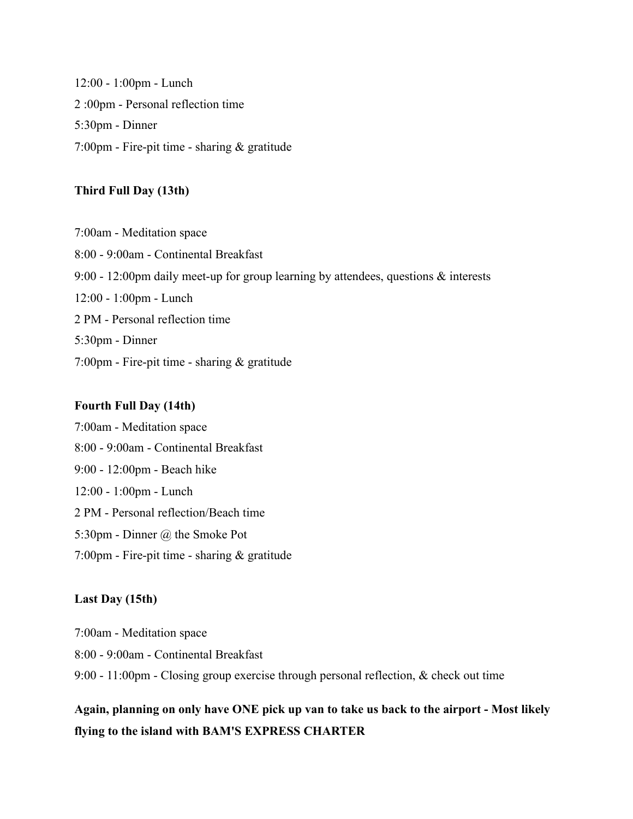12:00 - 1:00pm - Lunch 2 :00pm - Personal reflection time 5:30pm - Dinner 7:00pm - Fire-pit time - sharing & gratitude

# **Third Full Day (13th)**

7:00am - Meditation space 8:00 - 9:00am - Continental Breakfast 9:00 - 12:00pm daily meet-up for group learning by attendees, questions & interests 12:00 - 1:00pm - Lunch 2 PM - Personal reflection time 5:30pm - Dinner 7:00pm - Fire-pit time - sharing & gratitude

# **Fourth Full Day (14th)**

7:00am - Meditation space 8:00 - 9:00am - Continental Breakfast 9:00 - 12:00pm - Beach hike 12:00 - 1:00pm - Lunch 2 PM - Personal reflection/Beach time 5:30pm - Dinner @ the Smoke Pot 7:00pm - Fire-pit time - sharing & gratitude

#### **Last Day (15th)**

7:00am - Meditation space 8:00 - 9:00am - Continental Breakfast 9:00 - 11:00pm - Closing group exercise through personal reflection, & check out time

**Again, planning on only have ONE pick up van to take us back to the airport - Most likely flying to the island with BAM'S EXPRESS CHARTER**